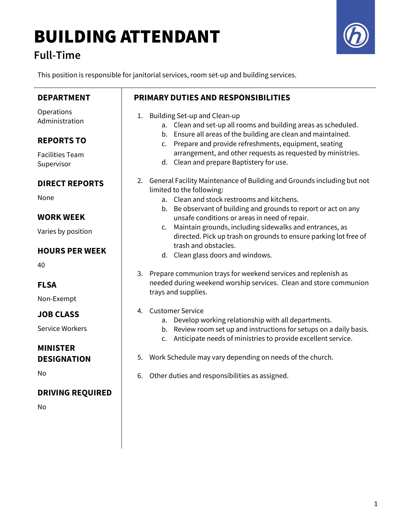# BUILDING ATTENDANT

### Full-Time



This position is responsible for janitorial services, room set-up and building services.

| <b>DEPARTMENT</b>                     | <b>PRIMARY DUTIES AND RESPONSIBILITIES</b>                                                                                                            |
|---------------------------------------|-------------------------------------------------------------------------------------------------------------------------------------------------------|
| Operations<br>Administration          | Building Set-up and Clean-up<br>1.<br>a. Clean and set-up all rooms and building areas as scheduled.                                                  |
| <b>REPORTS TO</b>                     | Ensure all areas of the building are clean and maintained.<br>b.<br>c. Prepare and provide refreshments, equipment, seating                           |
| <b>Facilities Team</b><br>Supervisor  | arrangement, and other requests as requested by ministries.<br>d. Clean and prepare Baptistery for use.                                               |
| <b>DIRECT REPORTS</b>                 | 2. General Facility Maintenance of Building and Grounds including but not<br>limited to the following:                                                |
| None                                  | a. Clean and stock restrooms and kitchens.                                                                                                            |
| <b>WORK WEEK</b>                      | b. Be observant of building and grounds to report or act on any<br>unsafe conditions or areas in need of repair.                                      |
| Varies by position                    | Maintain grounds, including sidewalks and entrances, as<br>$\mathsf{C}$ .<br>directed. Pick up trash on grounds to ensure parking lot free of         |
| <b>HOURS PER WEEK</b>                 | trash and obstacles.<br>d. Clean glass doors and windows.                                                                                             |
| 40                                    | 3. Prepare communion trays for weekend services and replenish as                                                                                      |
| <b>FLSA</b>                           | needed during weekend worship services. Clean and store communion<br>trays and supplies.                                                              |
| Non-Exempt                            | <b>Customer Service</b><br>4.                                                                                                                         |
| <b>JOB CLASS</b>                      | Develop working relationship with all departments.<br>а.                                                                                              |
| <b>Service Workers</b>                | b. Review room set up and instructions for setups on a daily basis.<br>Anticipate needs of ministries to provide excellent service.<br>$\mathsf{C}$ . |
| <b>MINISTER</b><br><b>DESIGNATION</b> | Work Schedule may vary depending on needs of the church.<br>5.                                                                                        |
| No                                    | Other duties and responsibilities as assigned.<br>6.                                                                                                  |
| <b>DRIVING REQUIRED</b>               |                                                                                                                                                       |
| No                                    |                                                                                                                                                       |
|                                       |                                                                                                                                                       |
|                                       |                                                                                                                                                       |